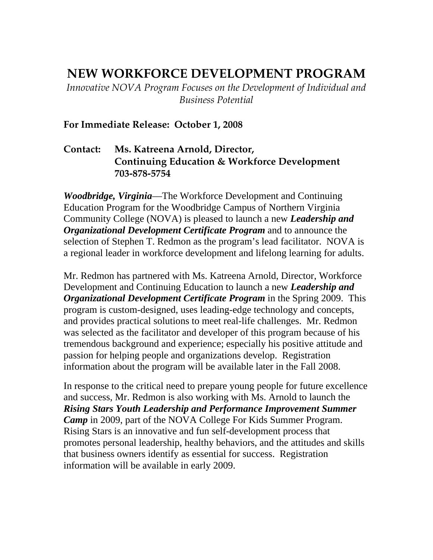## **NEW WORKFORCE DEVELOPMENT PROGRAM**

*Innovative NOVA Program Focuses on the Development of Individual and Business Potential*

## **For Immediate Release: October 1, 2008**

## **Contact: Ms. Katreena Arnold, Director, Continuing Education & Workforce Development 703-878-5754**

*Woodbridge, Virginia*––The Workforce Development and Continuing Education Program for the Woodbridge Campus of Northern Virginia Community College (NOVA) is pleased to launch a new *Leadership and Organizational Development Certificate Program* and to announce the selection of Stephen T. Redmon as the program's lead facilitator. NOVA is a regional leader in workforce development and lifelong learning for adults.

Mr. Redmon has partnered with Ms. Katreena Arnold, Director, Workforce Development and Continuing Education to launch a new *Leadership and Organizational Development Certificate Program* in the Spring 2009. This program is custom-designed, uses leading-edge technology and concepts, and provides practical solutions to meet real-life challenges. Mr. Redmon was selected as the facilitator and developer of this program because of his tremendous background and experience; especially his positive attitude and passion for helping people and organizations develop. Registration information about the program will be available later in the Fall 2008.

In response to the critical need to prepare young people for future excellence and success, Mr. Redmon is also working with Ms. Arnold to launch the *Rising Stars Youth Leadership and Performance Improvement Summer Camp* in 2009, part of the NOVA College For Kids Summer Program. Rising Stars is an innovative and fun self-development process that promotes personal leadership, healthy behaviors, and the attitudes and skills that business owners identify as essential for success. Registration information will be available in early 2009.